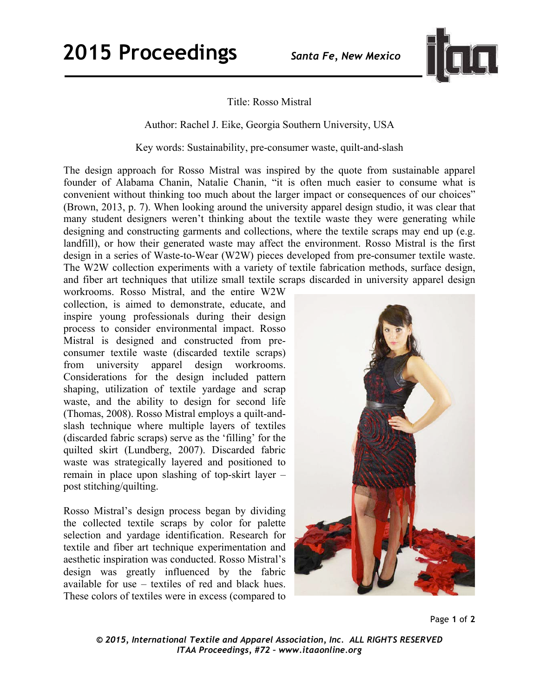

## Title: Rosso Mistral

Author: Rachel J. Eike, Georgia Southern University, USA

Key words: Sustainability, pre-consumer waste, quilt-and-slash

The design approach for Rosso Mistral was inspired by the quote from sustainable apparel founder of Alabama Chanin, Natalie Chanin, "it is often much easier to consume what is convenient without thinking too much about the larger impact or consequences of our choices" (Brown, 2013, p. 7). When looking around the university apparel design studio, it was clear that many student designers weren't thinking about the textile waste they were generating while designing and constructing garments and collections, where the textile scraps may end up (e.g. landfill), or how their generated waste may affect the environment. Rosso Mistral is the first design in a series of Waste-to-Wear (W2W) pieces developed from pre-consumer textile waste. The W2W collection experiments with a variety of textile fabrication methods, surface design, and fiber art techniques that utilize small textile scraps discarded in university apparel design

workrooms. Rosso Mistral, and the entire W2W collection, is aimed to demonstrate, educate, and inspire young professionals during their design process to consider environmental impact. Rosso Mistral is designed and constructed from preconsumer textile waste (discarded textile scraps) from university apparel design workrooms. Considerations for the design included pattern shaping, utilization of textile yardage and scrap waste, and the ability to design for second life (Thomas, 2008). Rosso Mistral employs a quilt-andslash technique where multiple layers of textiles (discarded fabric scraps) serve as the 'filling' for the quilted skirt (Lundberg, 2007). Discarded fabric waste was strategically layered and positioned to remain in place upon slashing of top-skirt layer – post stitching/quilting.

Rosso Mistral's design process began by dividing the collected textile scraps by color for palette selection and yardage identification. Research for textile and fiber art technique experimentation and aesthetic inspiration was conducted. Rosso Mistral's design was greatly influenced by the fabric available for use – textiles of red and black hues. These colors of textiles were in excess (compared to



*© 2015, International Textile and Apparel Association, Inc. ALL RIGHTS RESERVED ITAA Proceedings, #72 – www.itaaonline.org*